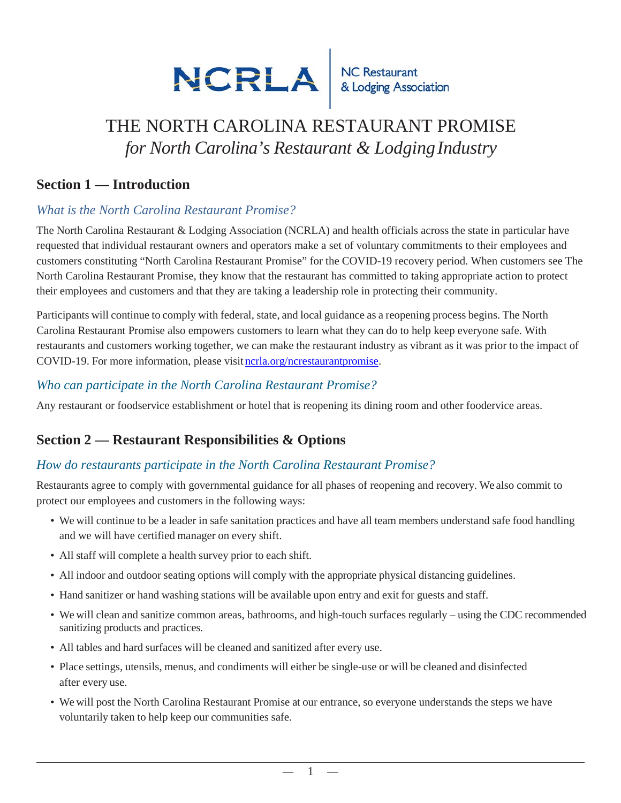

# THE NORTH CAROLINA RESTAURANT PROMISE *for North Carolina's Restaurant & LodgingIndustry*

#### **Section 1 — Introduction**

#### *What is the North Carolina Restaurant Promise?*

The North Carolina Restaurant & Lodging Association (NCRLA) and health officials across the state in particular have requested that individual restaurant owners and operators make a set of voluntary commitments to their employees and customers constituting "North Carolina Restaurant Promise" for the COVID-19 recovery period. When customers see The North Carolina Restaurant Promise, they know that the restaurant has committed to taking appropriate action to protect their employees and customers and that they are taking a leadership role in protecting their community.

Participants will continue to comply with federal, state, and local guidance as a reopening process begins. The North Carolina Restaurant Promise also empowers customers to learn what they can do to help keep everyone safe. With restaurants and customers working together, we can make the restaurant industry as vibrant as it was prior to the impact of COVID-19. For more information, please visit [ncrla.org/ncrestaurantpromise.](https://www.ncrla.org/training/ncrestaurantpromise)

#### *Who can participate in the North Carolina Restaurant Promise?*

Any restaurant or foodservice establishment or hotel that is reopening its dining room and other foodervice areas.

# **Section 2 — Restaurant Responsibilities & Options**

#### *How do restaurants participate in the North Carolina Restaurant Promise?*

Restaurants agree to comply with governmental guidance for all phases of reopening and recovery. We also commit to protect our employees and customers in the following ways:

- We will continue to be a leader in safe sanitation practices and have all team members understand safe food handling and we will have certified manager on every shift.
- All staff will complete a health survey prior to each shift.
- All indoor and outdoor seating options will comply with the appropriate physical distancing guidelines.
- Hand sanitizer or hand washing stations will be available upon entry and exit for guests and staff.
- We will clean and sanitize common areas, bathrooms, and high-touch surfaces regularly using the CDC recommended sanitizing products and practices.
- All tables and hard surfaces will be cleaned and sanitized after every use.
- Place settings, utensils, menus, and condiments will either be single-use or will be cleaned and disinfected after every use.
- We will post the North Carolina Restaurant Promise at our entrance, so everyone understands the steps we have voluntarily taken to help keep our communities safe.

 $\mathbf 1$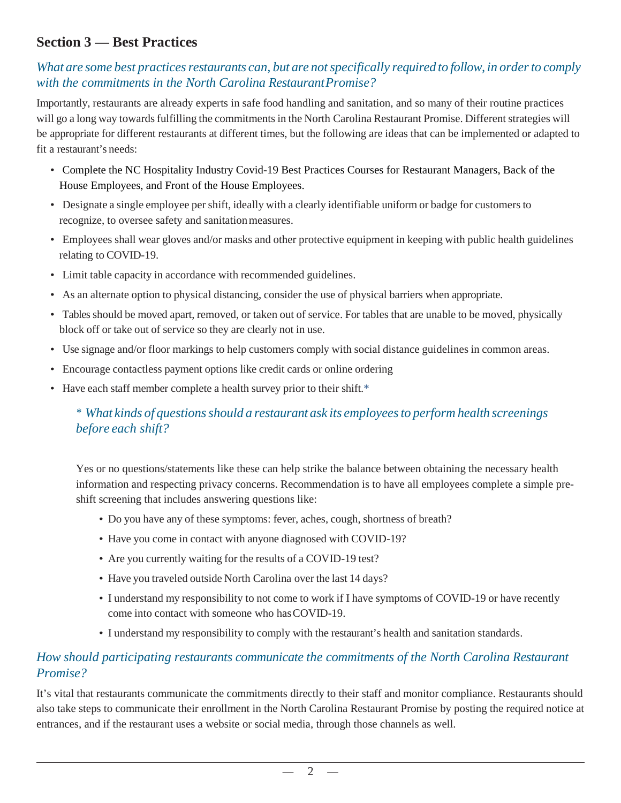# **Section 3 — Best Practices**

#### *What are some best practices restaurants can, but are not specifically required to follow, in order to comply with the commitments in the North Carolina Restaurant Promise?*

Importantly, restaurants are already experts in safe food handling and sanitation, and so many of their routine practices will go a long way towards fulfilling the commitments in the North Carolina Restaurant Promise. Different strategies will be appropriate for different restaurants at different times, but the following are ideas that can be implemented or adapted to fit a restaurant's needs:

- Complete the NC Hospitality Industry Covid-19 Best Practices Courses for Restaurant Managers, Back of the House Employees, and Front of the House Employees.
- Designate a single employee per shift, ideally with a clearly identifiable uniform or badge for customers to recognize, to oversee safety and sanitation measures.
- Employees shall wear gloves and/or masks and other protective equipment in keeping with public health guidelines relating to COVID-19.
- Limit table capacity in accordance with recommended guidelines.
- As an alternate option to physical distancing, consider the use of physical barriers when appropriate.
- Tables should be moved apart, removed, or taken out of service. For tables that are unable to be moved, physically block off or take out of service so they are clearly not in use.
- Use signage and/or floor markings to help customers comply with social distance guidelines in common areas.
- Encourage contactless payment options like credit cards or online ordering
- Have each staff member complete a health survey prior to their shift.\*

#### *\* What kinds of questions should a restaurant ask its employees to perform health screenings before each shift?*

Yes or no questions/statements like these can help strike the balance between obtaining the necessary health information and respecting privacy concerns. Recommendation is to have all employees complete a simple preshift screening that includes answering questions like:

- Do you have any of these symptoms: fever, aches, cough, shortness of breath?
- Have you come in contact with anyone diagnosed with COVID-19?
- Are you currently waiting for the results of a COVID-19 test?
- Have you traveled outside North Carolina over the last 14 days?
- I understand my responsibility to not come to work if I have symptoms of COVID-19 or have recently come into contact with someone who has COVID-19.
- I understand my responsibility to comply with the restaurant's health and sanitation standards.

#### *How should participating restaurants communicate the commitments of the North Carolina Restaurant Promise?*

It's vital that restaurants communicate the commitments directly to their staff and monitor compliance. Restaurants should also take steps to communicate their enrollment in the North Carolina Restaurant Promise by posting the required notice at entrances, and if the restaurant uses a website or social media, through those channels as well.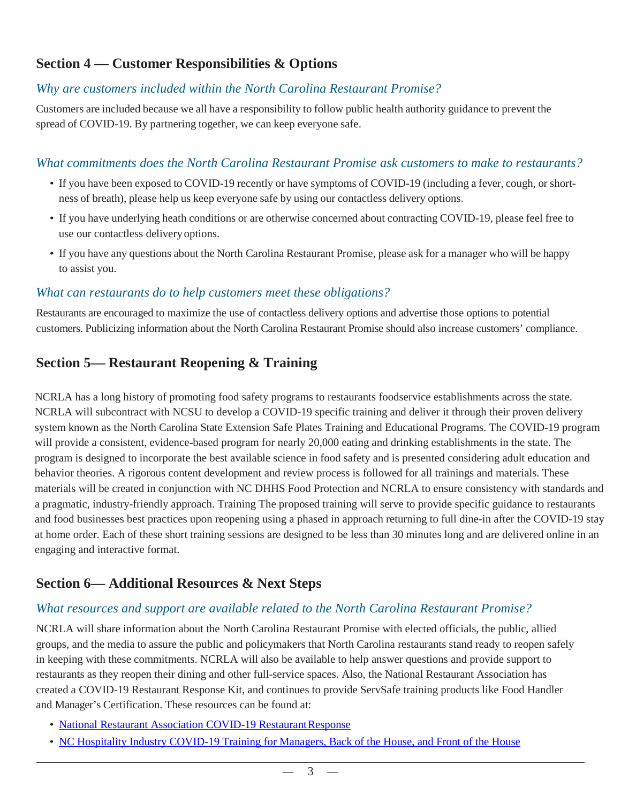# **Section 4 — Customer Responsibilities & Options**

# *Why are customers included within the North Carolina Restaurant Promise?*

Customers are included because we all have a responsibility to follow public health authority guidance to prevent the spread of COVID-19. By partnering together, we can keep everyone safe.

#### *What commitments does the North Carolina Restaurant Promise ask customers to make to restaurants?*

- If you have been exposed to COVID-19 recently or have symptoms of COVID-19 (including a fever, cough, or shortness of breath), please help us keep everyone safe by using our contactless delivery options.
- If you have underlying heath conditions or are otherwise concerned about contracting COVID-19, please feel free to use our contactless delivery options.
- If you have any questions about the North Carolina Restaurant Promise, please ask for a manager who will be happy to assist you.

#### *What can restaurants do to help customers meet these obligations?*

Restaurants are encouraged to maximize the use of contactless delivery options and advertise those options to potential customers. Publicizing information about the North Carolina Restaurant Promise should also increase customers' compliance.

# **Section 5— Restaurant Reopening & Training**

NCRLA has a long history of promoting food safety programs to restaurants foodservice establishments across the state. NCRLA will subcontract with NCSU to develop a COVID-19 specific training and deliver it through their proven delivery system known as the North Carolina State Extension Safe Plates Training and Educational Programs. The COVID-19 program will provide a consistent, evidence-based program for nearly 20,000 eating and drinking establishments in the state. The program is designed to incorporate the best available science in food safety and is presented considering adult education and behavior theories. A rigorous content development and review process is followed for all trainings and materials. These materials will be created in conjunction with NC DHHS Food Protection and NCRLA to ensure consistency with standards and a pragmatic, industry-friendly approach. Training The proposed training will serve to provide specific guidance to restaurants and food businesses best practices upon reopening using a phased in approach returning to full dine-in after the COVID-19 stay at home order. Each of these short training sessions are designed to be less than 30 minutes long and are delivered online in an engaging and interactive format.

# **Section 6— Additional Resources & Next Steps**

# *What resources and support are available related to the North Carolina Restaurant Promise?*

NCRLA will share information about the North Carolina Restaurant Promise with elected officials, the public, allied groups, and the media to assure the public and policymakers that North Carolina restaurants stand ready to reopen safely in keeping with these commitments. NCRLA will also be available to help answer questions and provide support to restaurants as they reopen their dining and other full-service spaces. Also, the National Restaurant Association has created a COVID-19 Restaurant Response Kit, and continues to provide ServSafe training products like Food Handler and Manager's Certification. These resources can be found at:

- [National Restaurant Association COVID-19 Restaurant Response](https://ncrla.help/wp-content/uploads/2020/04/NRA-REOPEN_GUIDANCE_CoBranded_NC.pdf)
- [NC Hospitality Industry COVID-19 Training for Managers, Back of the House, and Front of the House](https://www.ncrla.org/wp-content/uploads/2020/04/Restaurant-Reopening-Training-043020_FINAL.pdf)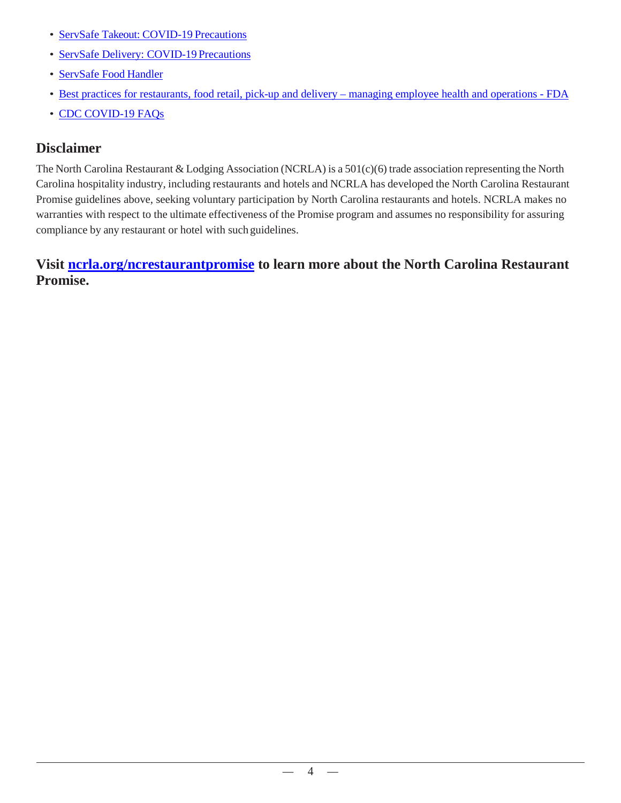- [ServSafe Takeout: COVID-19](https://event.on24.com/eventRegistration/EventLobbyServlet?target=reg20.jsp&partnerref=WebSS&eventid=2233534&sessionid=1&key=A98A8B947B30A6BD86CD597DD3255F4E®Tag=869294&sourcepage=register) Precautions
- [ServSafe Delivery: COVID-19](https://event.on24.com/eventRegistration/EventLobbyServlet?target=reg20.jsp&partnerref=WebSS&eventid=2233534&sessionid=1&key=A98A8B947B30A6BD86CD597DD3255F4E®Tag=869294&sourcepage=register) Precautions
- [ServSafe Food](https://www.servsafe.com/access/ss/Catalog/FreeFoodHandlerProducts) Handler
- [Best practices for restaurants, food retail, pick-up and delivery –](https://www.fda.gov/food/food-safety-during-emergencies/best-practices-retail-food-stores-restaurants-and-food-pick-updelivery-services-during-covid-19#operations) managing employee health and operations FDA
- CDC [COVID-19](https://www.cdc.gov/coronavirus/2019-ncov/faq.html) FAQs

#### **Disclaimer**

The North Carolina Restaurant & Lodging Association (NCRLA) is a 501(c)(6) trade association representing the North Carolina hospitality industry, including restaurants and hotels and NCRLA has developed the North Carolina Restaurant Promise guidelines above, seeking voluntary participation by North Carolina restaurants and hotels. NCRLA makes no warranties with respect to the ultimate effectiveness of the Promise program and assumes no responsibility for assuring compliance by any restaurant or hotel with such guidelines.

**Visit [ncrla.org/ncrestaurantpromise](https://ncrla.org/ncrestaurantpromise) to learn more about the North Carolina Restaurant Promise.**